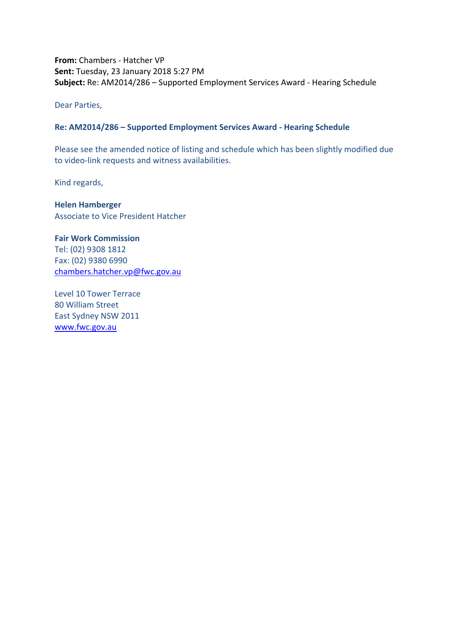**From:** Chambers - Hatcher VP **Sent:** Tuesday, 23 January 2018 5:27 PM **Subject:** Re: AM2014/286 – Supported Employment Services Award - Hearing Schedule

Dear Parties,

## **Re: AM2014/286 – Supported Employment Services Award - Hearing Schedule**

Please see the amended notice of listing and schedule which has been slightly modified due to video-link requests and witness availabilities.

Kind regards,

**Helen Hamberger** Associate to Vice President Hatcher

**Fair Work Commission**  Tel: (02) 9308 1812 Fax: (02) 9380 6990 [chambers.hatcher.vp@fwc.gov.au](mailto:chambers.hatcher.vp@fwc.gov.au) 

Level 10 Tower Terrace 80 William Street East Sydney NSW 2011 [www.fwc.gov.au](http://www.fwc.gov.au/)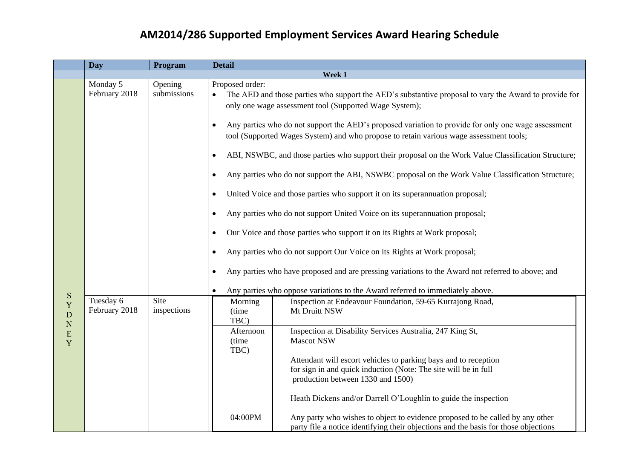## **AM2014/286 Supported Employment Services Award Hearing Schedule**

|                                                    | <b>Day</b>                 | Program                | <b>Detail</b>                                                                                                                                                                                                                                                                                                                                                                                    |  |  |
|----------------------------------------------------|----------------------------|------------------------|--------------------------------------------------------------------------------------------------------------------------------------------------------------------------------------------------------------------------------------------------------------------------------------------------------------------------------------------------------------------------------------------------|--|--|
|                                                    |                            |                        | Week 1                                                                                                                                                                                                                                                                                                                                                                                           |  |  |
|                                                    | Monday 5<br>February 2018  | Opening<br>submissions | Proposed order:<br>The AED and those parties who support the AED's substantive proposal to vary the Award to provide for<br>only one wage assessment tool (Supported Wage System);<br>Any parties who do not support the AED's proposed variation to provide for only one wage assessment<br>$\bullet$<br>tool (Supported Wages System) and who propose to retain various wage assessment tools; |  |  |
|                                                    |                            |                        | ABI, NSWBC, and those parties who support their proposal on the Work Value Classification Structure;<br>$\bullet$<br>Any parties who do not support the ABI, NSWBC proposal on the Work Value Classification Structure;<br>$\bullet$                                                                                                                                                             |  |  |
|                                                    |                            |                        | United Voice and those parties who support it on its superannuation proposal;<br>$\bullet$                                                                                                                                                                                                                                                                                                       |  |  |
|                                                    |                            |                        | Any parties who do not support United Voice on its superannuation proposal;<br>$\bullet$                                                                                                                                                                                                                                                                                                         |  |  |
|                                                    |                            |                        | Our Voice and those parties who support it on its Rights at Work proposal;<br>$\bullet$                                                                                                                                                                                                                                                                                                          |  |  |
|                                                    |                            |                        | Any parties who do not support Our Voice on its Rights at Work proposal;<br>$\bullet$<br>Any parties who have proposed and are pressing variations to the Award not referred to above; and<br>$\bullet$                                                                                                                                                                                          |  |  |
|                                                    |                            |                        | Any parties who oppose variations to the Award referred to immediately above.<br>$\bullet$                                                                                                                                                                                                                                                                                                       |  |  |
| S<br>Y<br>${\bf D}$<br>${\bf N}$<br>${\bf E}$<br>Y | Tuesday 6<br>February 2018 | Site<br>inspections    | Inspection at Endeavour Foundation, 59-65 Kurrajong Road,<br>Morning<br>Mt Druitt NSW<br>(time<br>TBC)                                                                                                                                                                                                                                                                                           |  |  |
|                                                    |                            |                        | Inspection at Disability Services Australia, 247 King St,<br>Afternoon<br><b>Mascot NSW</b><br>(time)<br>TBC)                                                                                                                                                                                                                                                                                    |  |  |
|                                                    |                            |                        | Attendant will escort vehicles to parking bays and to reception<br>for sign in and quick induction (Note: The site will be in full                                                                                                                                                                                                                                                               |  |  |
|                                                    |                            |                        | production between 1330 and 1500)                                                                                                                                                                                                                                                                                                                                                                |  |  |
|                                                    |                            |                        | Heath Dickens and/or Darrell O'Loughlin to guide the inspection                                                                                                                                                                                                                                                                                                                                  |  |  |
|                                                    |                            |                        | 04:00PM<br>Any party who wishes to object to evidence proposed to be called by any other<br>party file a notice identifying their objections and the basis for those objections                                                                                                                                                                                                                  |  |  |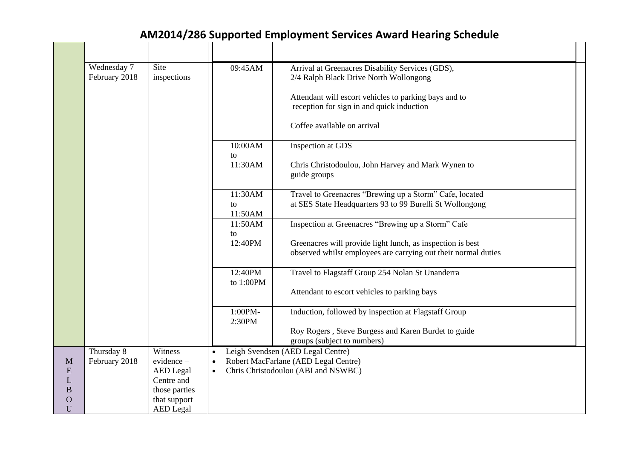## **AM2014/286 Supported Employment Services Award Hearing Schedule**

| Wednesday 7<br>February 2018 | Site<br>inspections              | 09:45AM                              | Arrival at Greenacres Disability Services (GDS),<br>2/4 Ralph Black Drive North Wollongong                                   |  |
|------------------------------|----------------------------------|--------------------------------------|------------------------------------------------------------------------------------------------------------------------------|--|
|                              |                                  |                                      | Attendant will escort vehicles to parking bays and to<br>reception for sign in and quick induction                           |  |
|                              |                                  |                                      | Coffee available on arrival                                                                                                  |  |
|                              |                                  | 10:00AM<br>to                        | Inspection at GDS                                                                                                            |  |
|                              |                                  | 11:30AM                              | Chris Christodoulou, John Harvey and Mark Wynen to<br>guide groups                                                           |  |
|                              |                                  | 11:30AM<br>to<br>11:50AM             | Travel to Greenacres "Brewing up a Storm" Cafe, located<br>at SES State Headquarters 93 to 99 Burelli St Wollongong          |  |
|                              |                                  | 11:50AM                              | Inspection at Greenacres "Brewing up a Storm" Cafe                                                                           |  |
|                              |                                  | to<br>12:40PM                        | Greenacres will provide light lunch, as inspection is best<br>observed whilst employees are carrying out their normal duties |  |
|                              |                                  | 12:40PM                              | Travel to Flagstaff Group 254 Nolan St Unanderra                                                                             |  |
|                              |                                  | to $1:00PM$                          | Attendant to escort vehicles to parking bays                                                                                 |  |
|                              |                                  | 1:00PM-<br>2:30PM                    | Induction, followed by inspection at Flagstaff Group                                                                         |  |
|                              |                                  |                                      | Roy Rogers, Steve Burgess and Karen Burdet to guide<br>groups (subject to numbers)                                           |  |
| Thursday 8                   | Witness                          | $\bullet$                            | Leigh Svendsen (AED Legal Centre)                                                                                            |  |
| February 2018                | $evidence -$                     | Robert MacFarlane (AED Legal Centre) |                                                                                                                              |  |
|                              | <b>AED</b> Legal                 | $\bullet$                            | Chris Christodoulou (ABI and NSWBC)                                                                                          |  |
|                              | Centre and                       |                                      |                                                                                                                              |  |
|                              | those parties                    |                                      |                                                                                                                              |  |
|                              | that support<br><b>AED</b> Legal |                                      |                                                                                                                              |  |